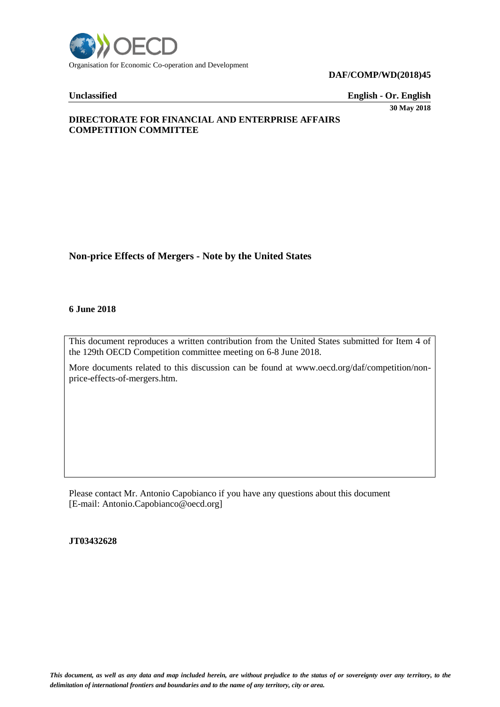

**Unclassified English - Or. English** 

**30 May 2018**

# **DIRECTORATE FOR FINANCIAL AND ENTERPRISE AFFAIRS COMPETITION COMMITTEE**

# **Non-price Effects of Mergers - Note by the United States**

#### **6 June 2018**

This document reproduces a written contribution from the United States submitted for Item 4 of the 129th OECD Competition committee meeting on 6-8 June 2018.

More documents related to this discussion can be found at www.oecd.org/daf/competition/nonprice-effects-of-mergers.htm.

Please contact Mr. Antonio Capobianco if you have any questions about this document [E-mail: Antonio.Capobianco@oecd.org]

**JT03432628**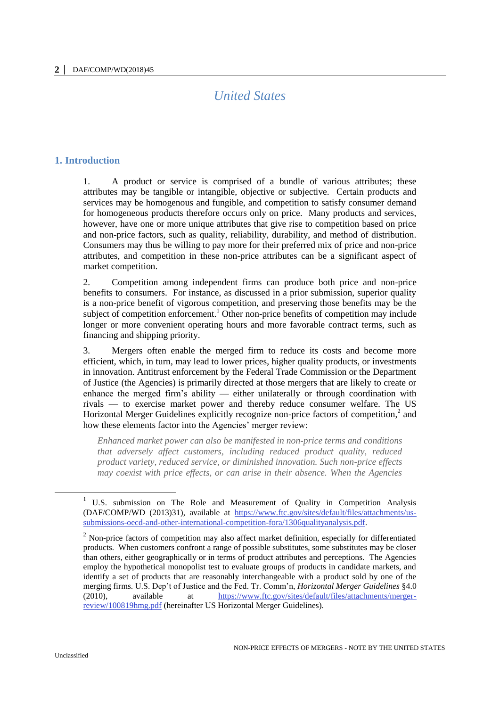# *United States*

# **1. Introduction**

1. A product or service is comprised of a bundle of various attributes; these attributes may be tangible or intangible, objective or subjective. Certain products and services may be homogenous and fungible, and competition to satisfy consumer demand for homogeneous products therefore occurs only on price. Many products and services, however, have one or more unique attributes that give rise to competition based on price and non-price factors, such as quality, reliability, durability, and method of distribution. Consumers may thus be willing to pay more for their preferred mix of price and non-price attributes, and competition in these non-price attributes can be a significant aspect of market competition.

2. Competition among independent firms can produce both price and non-price benefits to consumers. For instance, as discussed in a prior submission, superior quality is a non-price benefit of vigorous competition, and preserving those benefits may be the subject of competition enforcement.<sup>1</sup> Other non-price benefits of competition may include longer or more convenient operating hours and more favorable contract terms, such as financing and shipping priority.

3. Mergers often enable the merged firm to reduce its costs and become more efficient, which, in turn, may lead to lower prices, higher quality products, or investments in innovation. Antitrust enforcement by the Federal Trade Commission or the Department of Justice (the Agencies) is primarily directed at those mergers that are likely to create or enhance the merged firm's ability — either unilaterally or through coordination with rivals — to exercise market power and thereby reduce consumer welfare. The US Horizontal Merger Guidelines explicitly recognize non-price factors of competition, $2$  and how these elements factor into the Agencies' merger review:

*Enhanced market power can also be manifested in non-price terms and conditions that adversely affect customers, including reduced product quality, reduced product variety, reduced service, or diminished innovation. Such non-price effects may coexist with price effects, or can arise in their absence. When the Agencies* 

<sup>&</sup>lt;sup>1</sup> U.S. submission on The Role and Measurement of Quality in Competition Analysis (DAF/COMP/WD (2013)31), available at [https://www.ftc.gov/sites/default/files/attachments/us](https://www.ftc.gov/sites/default/files/attachments/us-submissions-oecd-and-other-international-competition-fora/1306qualityanalysis.pdf)[submissions-oecd-and-other-international-competition-fora/1306qualityanalysis.pdf.](https://www.ftc.gov/sites/default/files/attachments/us-submissions-oecd-and-other-international-competition-fora/1306qualityanalysis.pdf)

<sup>&</sup>lt;sup>2</sup> Non-price factors of competition may also affect market definition, especially for differentiated products. When customers confront a range of possible substitutes, some substitutes may be closer than others, either geographically or in terms of product attributes and perceptions. The Agencies employ the hypothetical monopolist test to evaluate groups of products in candidate markets, and identify a set of products that are reasonably interchangeable with a product sold by one of the merging firms. U.S. Dep't of Justice and the Fed. Tr. Comm'n, *Horizontal Merger Guidelines* §4.0 (2010), available at [https://www.ftc.gov/sites/default/files/attachments/merger](https://www.ftc.gov/sites/default/files/attachments/merger-review/100819hmg.pdf)[review/100819hmg.pdf](https://www.ftc.gov/sites/default/files/attachments/merger-review/100819hmg.pdf) (hereinafter US Horizontal Merger Guidelines).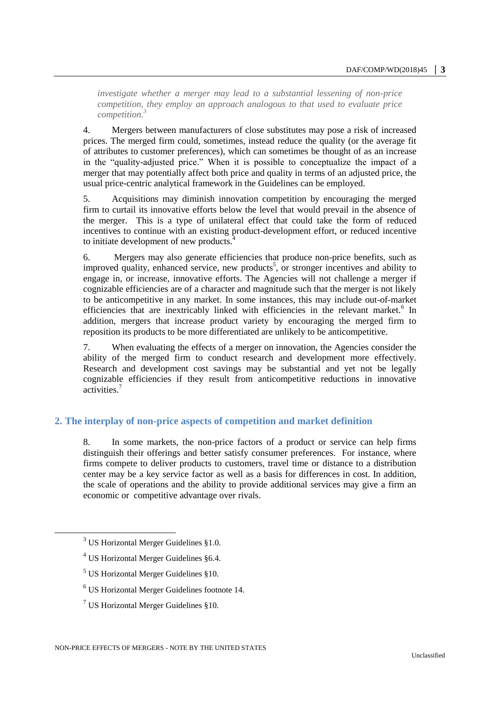*investigate whether a merger may lead to a substantial lessening of non-price competition, they employ an approach analogous to that used to evaluate price competition.<sup>3</sup>*

4. Mergers between manufacturers of close substitutes may pose a risk of increased prices. The merged firm could, sometimes, instead reduce the quality (or the average fit of attributes to customer preferences), which can sometimes be thought of as an increase in the "quality-adjusted price." When it is possible to conceptualize the impact of a merger that may potentially affect both price and quality in terms of an adjusted price, the usual price-centric analytical framework in the Guidelines can be employed.

5. Acquisitions may diminish innovation competition by encouraging the merged firm to curtail its innovative efforts below the level that would prevail in the absence of the merger. This is a type of unilateral effect that could take the form of reduced incentives to continue with an existing product-development effort, or reduced incentive to initiate development of new products.<sup>4</sup>

6. Mergers may also generate efficiencies that produce non-price benefits, such as improved quality, enhanced service, new products<sup>5</sup>, or stronger incentives and ability to engage in, or increase, innovative efforts. The Agencies will not challenge a merger if cognizable efficiencies are of a character and magnitude such that the merger is not likely to be anticompetitive in any market. In some instances, this may include out-of-market efficiencies that are inextricably linked with efficiencies in the relevant market.<sup>6</sup> In addition, mergers that increase product variety by encouraging the merged firm to reposition its products to be more differentiated are unlikely to be anticompetitive.

7. When evaluating the effects of a merger on innovation, the Agencies consider the ability of the merged firm to conduct research and development more effectively. Research and development cost savings may be substantial and yet not be legally cognizable efficiencies if they result from anticompetitive reductions in innovative activities.<sup>7</sup>

# **2. The interplay of non-price aspects of competition and market definition**

8. In some markets, the non-price factors of a product or service can help firms distinguish their offerings and better satisfy consumer preferences. For instance, where firms compete to deliver products to customers, travel time or distance to a distribution center may be a key service factor as well as a basis for differences in cost. In addition, the scale of operations and the ability to provide additional services may give a firm an economic or competitive advantage over rivals.

 $\overline{a}$ 

 $7$  US Horizontal Merger Guidelines §10.

 $3$  US Horizontal Merger Guidelines §1.0.

 $4$  US Horizontal Merger Guidelines §6.4.

 $<sup>5</sup>$  US Horizontal Merger Guidelines §10.</sup>

<sup>6</sup> US Horizontal Merger Guidelines footnote 14.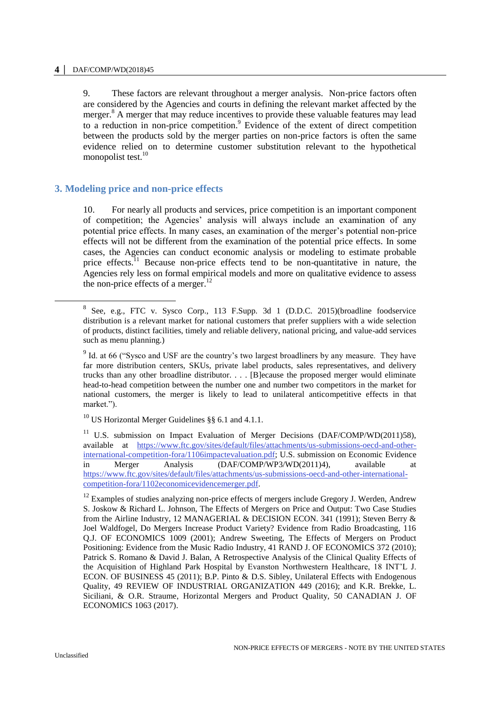9. These factors are relevant throughout a merger analysis. Non-price factors often are considered by the Agencies and courts in defining the relevant market affected by the merger.<sup>8</sup> A merger that may reduce incentives to provide these valuable features may lead to a reduction in non-price competition.<sup>9</sup> Evidence of the extent of direct competition between the products sold by the merger parties on non-price factors is often the same evidence relied on to determine customer substitution relevant to the hypothetical monopolist test.<sup>10</sup>

# **3. Modeling price and non-price effects**

10. For nearly all products and services, price competition is an important component of competition; the Agencies' analysis will always include an examination of any potential price effects. In many cases, an examination of the merger's potential non-price effects will not be different from the examination of the potential price effects. In some cases, the Agencies can conduct economic analysis or modeling to estimate probable price effects.<sup>11</sup> Because non-price effects tend to be non-quantitative in nature, the Agencies rely less on formal empirical models and more on qualitative evidence to assess the non-price effects of a merger. $^{12}$ 

<sup>10</sup> US Horizontal Merger Guidelines §§ 6.1 and 4.1.1.

-

<sup>8</sup> See, e.g., FTC v. Sysco Corp., 113 F.Supp. 3d 1 (D.D.C. 2015)(broadline foodservice distribution is a relevant market for national customers that prefer suppliers with a wide selection of products, distinct facilities, timely and reliable delivery, national pricing, and value-add services such as menu planning.)

<sup>&</sup>lt;sup>9</sup> Id. at 66 ("Sysco and USF are the country's two largest broadliners by any measure. They have far more distribution centers, SKUs, private label products, sales representatives, and delivery trucks than any other broadline distributor. . . . [B]ecause the proposed merger would eliminate head-to-head competition between the number one and number two competitors in the market for national customers, the merger is likely to lead to unilateral anticompetitive effects in that market.").

<sup>&</sup>lt;sup>11</sup> U.S. submission on Impact Evaluation of Merger Decisions (DAF/COMP/WD(2011)58), available at [https://www.ftc.gov/sites/default/files/attachments/us-submissions-oecd-and-other](https://www.ftc.gov/sites/default/files/attachments/us-submissions-oecd-and-other-international-competition-fora/1106impactevaluation.pdf)[international-competition-fora/1106impactevaluation.pdf;](https://www.ftc.gov/sites/default/files/attachments/us-submissions-oecd-and-other-international-competition-fora/1106impactevaluation.pdf) U.S. submission on Economic Evidence in Merger Analysis (DAF/COMP/WP3/WD(2011)4), available at [https://www.ftc.gov/sites/default/files/attachments/us-submissions-oecd-and-other-international](https://www.ftc.gov/sites/default/files/attachments/us-submissions-oecd-and-other-international-competition-fora/1102economicevidencemerger.pdf)[competition-fora/1102economicevidencemerger.pdf.](https://www.ftc.gov/sites/default/files/attachments/us-submissions-oecd-and-other-international-competition-fora/1102economicevidencemerger.pdf)

 $12$  Examples of studies analyzing non-price effects of mergers include Gregory J. Werden, Andrew S. Joskow & Richard L. Johnson, The Effects of Mergers on Price and Output: Two Case Studies from the Airline Industry, 12 MANAGERIAL & DECISION ECON. 341 (1991); Steven Berry & Joel Waldfogel, Do Mergers Increase Product Variety? Evidence from Radio Broadcasting, 116 Q.J. OF ECONOMICS 1009 (2001); Andrew Sweeting, The Effects of Mergers on Product Positioning: Evidence from the Music Radio Industry, 41 RAND J. OF ECONOMICS 372 (2010); Patrick S. Romano & David J. Balan, A Retrospective Analysis of the Clinical Quality Effects of the Acquisition of Highland Park Hospital by Evanston Northwestern Healthcare, 18 INT'L J. ECON. OF BUSINESS 45 (2011); B.P. Pinto & D.S. Sibley, Unilateral Effects with Endogenous Quality, 49 REVIEW OF INDUSTRIAL ORGANIZATION 449 (2016); and K.R. Brekke, L. Siciliani, & O.R. Straume, Horizontal Mergers and Product Quality, 50 CANADIAN J. OF ECONOMICS 1063 (2017).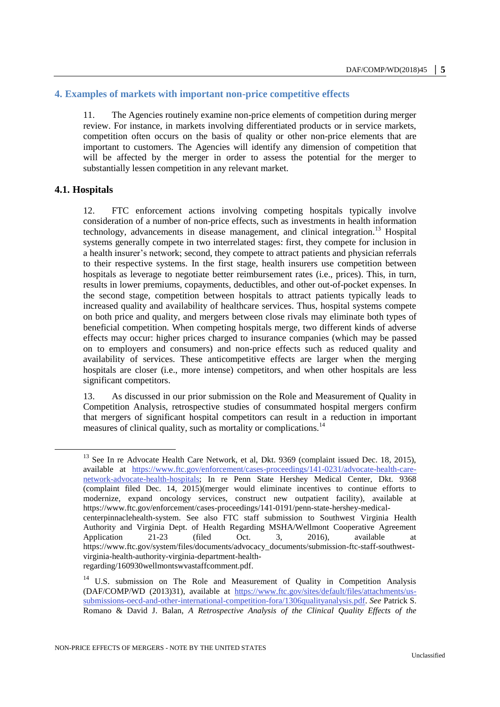#### **4. Examples of markets with important non-price competitive effects**

11. The Agencies routinely examine non-price elements of competition during merger review. For instance, in markets involving differentiated products or in service markets, competition often occurs on the basis of quality or other non-price elements that are important to customers. The Agencies will identify any dimension of competition that will be affected by the merger in order to assess the potential for the merger to substantially lessen competition in any relevant market.

#### **4.1. Hospitals**

 $\overline{a}$ 

12. FTC enforcement actions involving competing hospitals typically involve consideration of a number of non-price effects, such as investments in health information technology, advancements in disease management, and clinical integration.<sup>13</sup> Hospital systems generally compete in two interrelated stages: first, they compete for inclusion in a health insurer's network; second, they compete to attract patients and physician referrals to their respective systems. In the first stage, health insurers use competition between hospitals as leverage to negotiate better reimbursement rates (i.e., prices). This, in turn, results in lower premiums, copayments, deductibles, and other out-of-pocket expenses. In the second stage, competition between hospitals to attract patients typically leads to increased quality and availability of healthcare services. Thus, hospital systems compete on both price and quality, and mergers between close rivals may eliminate both types of beneficial competition. When competing hospitals merge, two different kinds of adverse effects may occur: higher prices charged to insurance companies (which may be passed on to employers and consumers) and non-price effects such as reduced quality and availability of services. These anticompetitive effects are larger when the merging hospitals are closer (i.e., more intense) competitors, and when other hospitals are less significant competitors.

13. As discussed in our prior submission on the Role and Measurement of Quality in Competition Analysis, retrospective studies of consummated hospital mergers confirm that mergers of significant hospital competitors can result in a reduction in important measures of clinical quality, such as mortality or complications.<sup>14</sup>

<sup>&</sup>lt;sup>13</sup> See In re Advocate Health Care Network, et al, Dkt. 9369 (complaint issued Dec. 18, 2015), available at [https://www.ftc.gov/enforcement/cases-proceedings/141-0231/advocate-health-care](https://www.ftc.gov/enforcement/cases-proceedings/141-0231/advocate-health-care-network-advocate-health-hospitals)[network-advocate-health-hospitals;](https://www.ftc.gov/enforcement/cases-proceedings/141-0231/advocate-health-care-network-advocate-health-hospitals) In re Penn State Hershey Medical Center, Dkt. 9368 (complaint filed Dec. 14, 2015)(merger would eliminate incentives to continue efforts to modernize, expand oncology services, construct new outpatient facility), available at https://www.ftc.gov/enforcement/cases-proceedings/141-0191/penn-state-hershey-medicalcenterpinnaclehealth-system. See also FTC staff submission to Southwest Virginia Health Authority and Virginia Dept. of Health Regarding MSHA/Wellmont Cooperative Agreement Application 21-23 (filed Oct. 3, 2016), available at https://www.ftc.gov/system/files/documents/advocacy\_documents/submission-ftc-staff-southwestvirginia-health-authority-virginia-department-healthregarding/160930wellmontswvastaffcomment.pdf.

<sup>&</sup>lt;sup>14</sup> U.S. submission on The Role and Measurement of Quality in Competition Analysis (DAF/COMP/WD (2013)31), available at [https://www.ftc.gov/sites/default/files/attachments/us](https://www.ftc.gov/sites/default/files/attachments/us-submissions-oecd-and-other-international-competition-fora/1306qualityanalysis.pdf)[submissions-oecd-and-other-international-competition-fora/1306qualityanalysis.pdf.](https://www.ftc.gov/sites/default/files/attachments/us-submissions-oecd-and-other-international-competition-fora/1306qualityanalysis.pdf) *See* Patrick S. Romano & David J. Balan, *A Retrospective Analysis of the Clinical Quality Effects of the*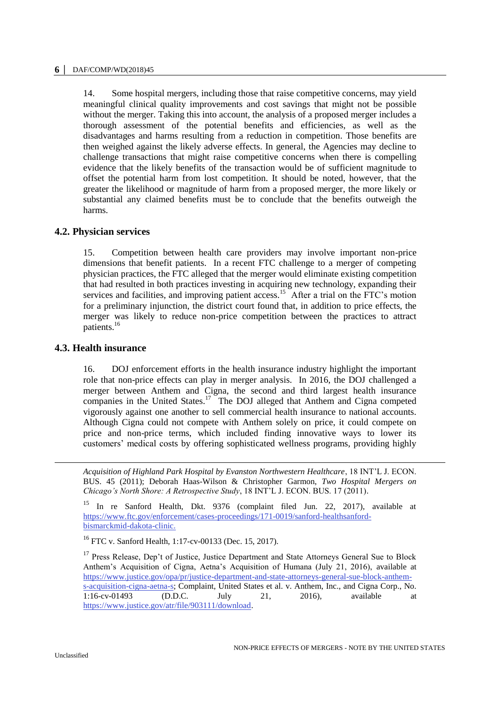14. Some hospital mergers, including those that raise competitive concerns, may yield meaningful clinical quality improvements and cost savings that might not be possible without the merger. Taking this into account, the analysis of a proposed merger includes a thorough assessment of the potential benefits and efficiencies, as well as the disadvantages and harms resulting from a reduction in competition. Those benefits are then weighed against the likely adverse effects. In general, the Agencies may decline to challenge transactions that might raise competitive concerns when there is compelling evidence that the likely benefits of the transaction would be of sufficient magnitude to offset the potential harm from lost competition. It should be noted, however, that the greater the likelihood or magnitude of harm from a proposed merger, the more likely or substantial any claimed benefits must be to conclude that the benefits outweigh the harms.

# **4.2. Physician services**

15. Competition between health care providers may involve important non-price dimensions that benefit patients. In a recent FTC challenge to a merger of competing physician practices, the FTC alleged that the merger would eliminate existing competition that had resulted in both practices investing in acquiring new technology, expanding their services and facilities, and improving patient access.<sup>15</sup> After a trial on the FTC's motion for a preliminary injunction, the district court found that, in addition to price effects, the merger was likely to reduce non-price competition between the practices to attract patients.<sup>16</sup>

# **4.3. Health insurance**

16. DOJ enforcement efforts in the health insurance industry highlight the important role that non-price effects can play in merger analysis. In 2016, the DOJ challenged a merger between Anthem and Cigna, the second and third largest health insurance companies in the United States.<sup>17</sup> The DOJ alleged that Anthem and Cigna competed vigorously against one another to sell commercial health insurance to national accounts. Although Cigna could not compete with Anthem solely on price, it could compete on price and non-price terms, which included finding innovative ways to lower its customers' medical costs by offering sophisticated wellness programs, providing highly

*Acquisition of Highland Park Hospital by Evanston Northwestern Healthcare*, 18 INT'L J. ECON. BUS. 45 (2011); Deborah Haas-Wilson & Christopher Garmon, *Two Hospital Mergers on Chicago's North Shore: A Retrospective Study*, 18 INT'L J. ECON. BUS. 17 (2011).

<sup>15</sup> In re Sanford Health, Dkt. 9376 (complaint filed Jun. 22, 2017), available at [https://www.ftc.gov/enforcement/cases-proceedings/171-0019/sanford-healthsanford](https://www.ftc.gov/enforcement/cases-proceedings/171-0019/sanford-healthsanford-bismarckmid-dakota-clinic)[bismarckmid-dakota-clinic.](https://www.ftc.gov/enforcement/cases-proceedings/171-0019/sanford-healthsanford-bismarckmid-dakota-clinic)

<sup>16</sup> FTC v. Sanford Health, 1:17-cv-00133 (Dec. 15, 2017).

<sup>17</sup> Press Release, Dep't of Justice, Justice Department and State Attorneys General Sue to Block Anthem's Acquisition of Cigna, Aetna's Acquisition of Humana (July 21, 2016), available at [https://www.justice.gov/opa/pr/justice-department-and-state-attorneys-general-sue-block-anthem](https://www.justice.gov/opa/pr/justice-department-and-state-attorneys-general-sue-block-anthem-s-acquisition-cigna-aetna-s)[s-acquisition-cigna-aetna-s;](https://www.justice.gov/opa/pr/justice-department-and-state-attorneys-general-sue-block-anthem-s-acquisition-cigna-aetna-s) Complaint, United States et al. v. Anthem, Inc., and Cigna Corp., No. 1:16-cv-01493 (D.D.C. July 21, 2016), available at [https://www.justice.gov/atr/file/903111/download.](https://www.justice.gov/atr/file/903111/download)

<u>.</u>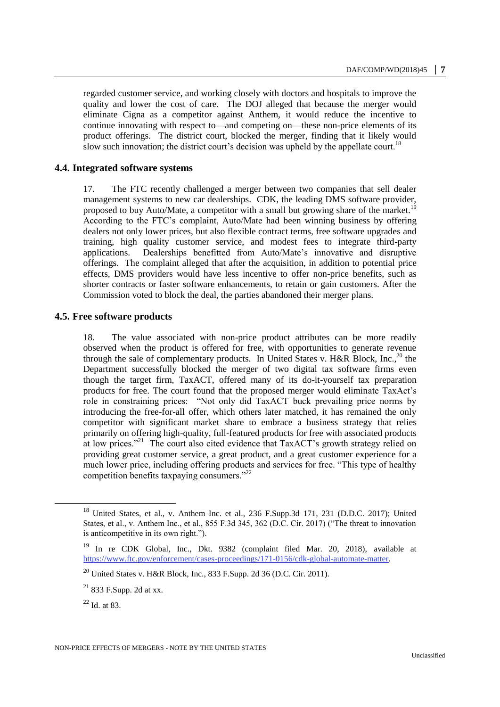regarded customer service, and working closely with doctors and hospitals to improve the quality and lower the cost of care. The DOJ alleged that because the merger would eliminate Cigna as a competitor against Anthem, it would reduce the incentive to continue innovating with respect to—and competing on—these non-price elements of its product offerings. The district court, blocked the merger, finding that it likely would slow such innovation; the district court's decision was upheld by the appellate court.<sup>18</sup>

# **4.4. Integrated software systems**

17. The FTC recently challenged a merger between two companies that sell dealer management systems to new car dealerships. CDK, the leading DMS software provider, proposed to buy Auto/Mate, a competitor with a small but growing share of the market.<sup>19</sup> According to the FTC's complaint, Auto/Mate had been winning business by offering dealers not only lower prices, but also flexible contract terms, free software upgrades and training, high quality customer service, and modest fees to integrate third-party applications. Dealerships benefitted from Auto/Mate's innovative and disruptive offerings. The complaint alleged that after the acquisition, in addition to potential price effects, DMS providers would have less incentive to offer non-price benefits, such as shorter contracts or faster software enhancements, to retain or gain customers. After the Commission voted to block the deal, the parties abandoned their merger plans.

# **4.5. Free software products**

18. The value associated with non-price product attributes can be more readily observed when the product is offered for free, with opportunities to generate revenue through the sale of complementary products. In United States v. H&R Block, Inc.,<sup>20</sup> the Department successfully blocked the merger of two digital tax software firms even though the target firm, TaxACT, offered many of its do-it-yourself tax preparation products for free. The court found that the proposed merger would eliminate TaxAct's role in constraining prices: "Not only did TaxACT buck prevailing price norms by introducing the free-for-all offer, which others later matched, it has remained the only competitor with significant market share to embrace a business strategy that relies primarily on offering high-quality, full-featured products for free with associated products at low prices."<sup>21</sup> The court also cited evidence that TaxACT's growth strategy relied on providing great customer service, a great product, and a great customer experience for a much lower price, including offering products and services for free. "This type of healthy competition benefits taxpaying consumers."<sup>22</sup>

<sup>&</sup>lt;sup>18</sup> United States, et al., v. Anthem Inc. et al., 236 F.Supp.3d 171, 231 (D.D.C. 2017); United States, et al., v. Anthem Inc., et al., 855 F.3d 345, 362 (D.C. Cir. 2017) ("The threat to innovation is anticompetitive in its own right.").

<sup>19</sup> In re CDK Global, Inc., Dkt. 9382 (complaint filed Mar. 20, 2018), available at [https://www.ftc.gov/enforcement/cases-proceedings/171-0156/cdk-global-automate-matter.](https://www.ftc.gov/enforcement/cases-proceedings/171-0156/cdk-global-automate-matter)

 $^{20}$  United States v. H&R Block, Inc., 833 F.Supp. 2d 36 (D.C. Cir. 2011).

 $21$  833 F.Supp. 2d at xx.

 $22$  Id. at 83.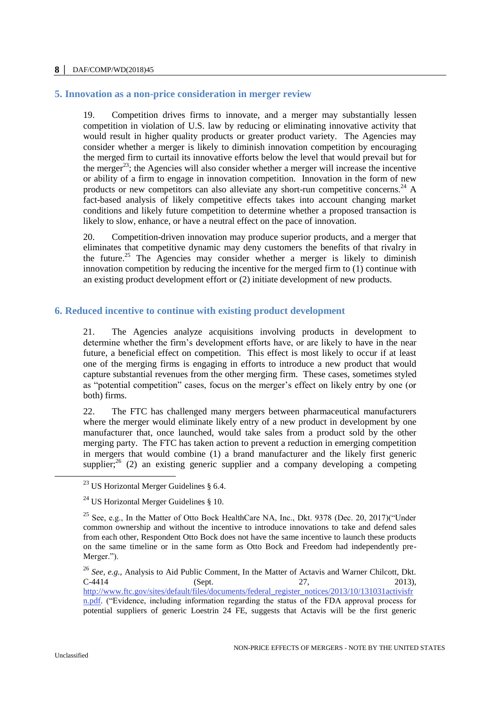#### **5. Innovation as a non-price consideration in merger review**

19. Competition drives firms to innovate, and a merger may substantially lessen competition in violation of U.S. law by reducing or eliminating innovative activity that would result in higher quality products or greater product variety. The Agencies may consider whether a merger is likely to diminish innovation competition by encouraging the merged firm to curtail its innovative efforts below the level that would prevail but for the merger<sup>23</sup>; the Agencies will also consider whether a merger will increase the incentive or ability of a firm to engage in innovation competition. Innovation in the form of new products or new competitors can also alleviate any short-run competitive concerns.<sup>24</sup> A fact-based analysis of likely competitive effects takes into account changing market conditions and likely future competition to determine whether a proposed transaction is likely to slow, enhance, or have a neutral effect on the pace of innovation.

20. Competition-driven innovation may produce superior products, and a merger that eliminates that competitive dynamic may deny customers the benefits of that rivalry in the future.<sup>25</sup> The Agencies may consider whether a merger is likely to diminish innovation competition by reducing the incentive for the merged firm to (1) continue with an existing product development effort or (2) initiate development of new products.

### **6. Reduced incentive to continue with existing product development**

21. The Agencies analyze acquisitions involving products in development to determine whether the firm's development efforts have, or are likely to have in the near future, a beneficial effect on competition. This effect is most likely to occur if at least one of the merging firms is engaging in efforts to introduce a new product that would capture substantial revenues from the other merging firm. These cases, sometimes styled as "potential competition" cases, focus on the merger's effect on likely entry by one (or both) firms.

22. The FTC has challenged many mergers between pharmaceutical manufacturers where the merger would eliminate likely entry of a new product in development by one manufacturer that, once launched, would take sales from a product sold by the other merging party. The FTC has taken action to prevent a reduction in emerging competition in mergers that would combine (1) a brand manufacturer and the likely first generic supplier;<sup>26</sup> (2) an existing generic supplier and a company developing a competing

<sup>&</sup>lt;sup>23</sup> US Horizontal Merger Guidelines  $\S$  6.4.

 $24$  US Horizontal Merger Guidelines § 10.

<sup>&</sup>lt;sup>25</sup> See, e.g., In the Matter of Otto Bock HealthCare NA, Inc., Dkt. 9378 (Dec. 20, 2017)("Under common ownership and without the incentive to introduce innovations to take and defend sales from each other, Respondent Otto Bock does not have the same incentive to launch these products on the same timeline or in the same form as Otto Bock and Freedom had independently pre-Merger.").

<sup>26</sup> *See, e.g.,* Analysis to Aid Public Comment, In the Matter of Actavis and Warner Chilcott, Dkt.  $C-4414$  (Sept. 27, 2013), [http://www.ftc.gov/sites/default/files/documents/federal\\_register\\_notices/2013/10/131031activisfr](http://www.ftc.gov/sites/default/files/documents/federal_register_notices/2013/10/131031activisfrn.pdf) [n.pdf.](http://www.ftc.gov/sites/default/files/documents/federal_register_notices/2013/10/131031activisfrn.pdf) ("Evidence, including information regarding the status of the FDA approval process for potential suppliers of generic Loestrin 24 FE, suggests that Actavis will be the first generic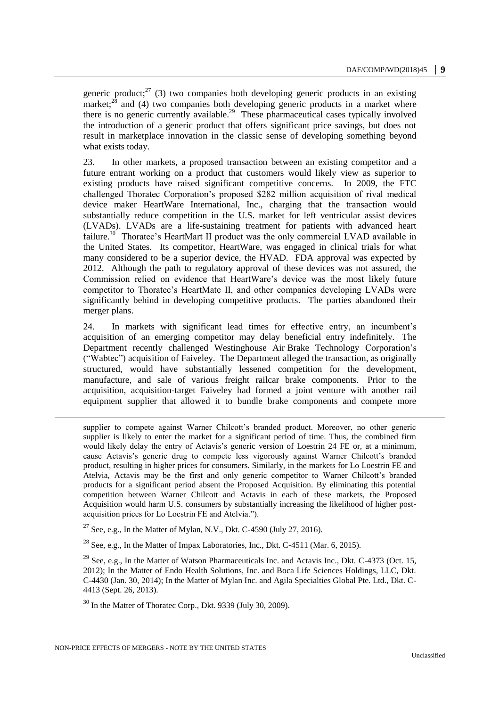generic product;<sup>27</sup> (3) two companies both developing generic products in an existing market;<sup>28</sup> and (4) two companies both developing generic products in a market where there is no generic currently available.<sup>29</sup> These pharmaceutical cases typically involved the introduction of a generic product that offers significant price savings, but does not result in marketplace innovation in the classic sense of developing something beyond what exists today.

23. In other markets, a proposed transaction between an existing competitor and a future entrant working on a product that customers would likely view as superior to existing products have raised significant competitive concerns. In 2009, the FTC challenged Thoratec Corporation's proposed \$282 million acquisition of rival medical device maker HeartWare International, Inc., charging that the transaction would substantially reduce competition in the U.S. market for left ventricular assist devices (LVADs). LVADs are a life-sustaining treatment for patients with advanced heart failure.<sup>30</sup> Thoratec's HeartMart II product was the only commercial LVAD available in the United States. Its competitor, HeartWare, was engaged in clinical trials for what many considered to be a superior device, the HVAD. FDA approval was expected by 2012. Although the path to regulatory approval of these devices was not assured, the Commission relied on evidence that HeartWare's device was the most likely future competitor to Thoratec's HeartMate II, and other companies developing LVADs were significantly behind in developing competitive products. The parties abandoned their merger plans.

24. In markets with significant lead times for effective entry, an incumbent's acquisition of an emerging competitor may delay beneficial entry indefinitely. The Department recently challenged Westinghouse Air Brake Technology Corporation's ("Wabtec") acquisition of Faiveley. The Department alleged the transaction, as originally structured, would have substantially lessened competition for the development, manufacture, and sale of various freight railcar brake components. Prior to the acquisition, acquisition-target Faiveley had formed a joint venture with another rail equipment supplier that allowed it to bundle brake components and compete more

supplier to compete against Warner Chilcott's branded product. Moreover, no other generic supplier is likely to enter the market for a significant period of time. Thus, the combined firm would likely delay the entry of Actavis's generic version of Loestrin 24 FE or, at a minimum, cause Actavis's generic drug to compete less vigorously against Warner Chilcott's branded product, resulting in higher prices for consumers. Similarly, in the markets for Lo Loestrin FE and Atelvia, Actavis may be the first and only generic competitor to Warner Chilcott's branded products for a significant period absent the Proposed Acquisition. By eliminating this potential competition between Warner Chilcott and Actavis in each of these markets, the Proposed Acquisition would harm U.S. consumers by substantially increasing the likelihood of higher postacquisition prices for Lo Loestrin FE and Atelvia.").

<sup>27</sup> See, e.g., In the Matter of Mylan, N.V., Dkt. C-4590 (July 27, 2016).

<sup>28</sup> See, e.g., In the Matter of Impax Laboratories, Inc., Dkt. C-4511 (Mar. 6, 2015).

<sup>29</sup> See, e.g., In the Matter of Watson Pharmaceuticals Inc. and Actavis Inc., Dkt. C-4373 (Oct. 15, 2012); In the Matter of Endo Health Solutions, Inc. and Boca Life Sciences Holdings, LLC, Dkt. C-4430 (Jan. 30, 2014); In the Matter of Mylan Inc. and Agila Specialties Global Pte. Ltd., Dkt. C-4413 (Sept. 26, 2013).

<sup>30</sup> In the Matter of Thoratec Corp., Dkt. 9339 (July 30, 2009).

-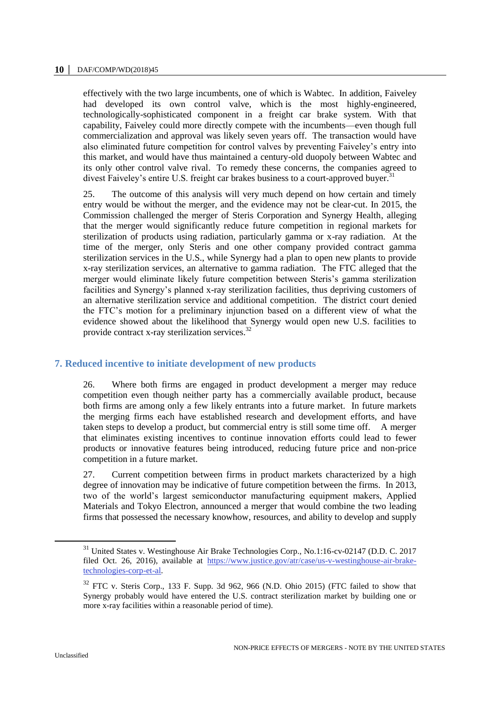effectively with the two large incumbents, one of which is Wabtec. In addition, Faiveley had developed its own control valve, which is the most highly-engineered, technologically-sophisticated component in a freight car brake system. With that capability, Faiveley could more directly compete with the incumbents—even though full commercialization and approval was likely seven years off. The transaction would have also eliminated future competition for control valves by preventing Faiveley's entry into this market, and would have thus maintained a century-old duopoly between Wabtec and its only other control valve rival. To remedy these concerns, the companies agreed to divest Faiveley's entire U.S. freight car brakes business to a court-approved buyer.<sup>31</sup>

25. The outcome of this analysis will very much depend on how certain and timely entry would be without the merger, and the evidence may not be clear-cut. In 2015, the Commission challenged the merger of Steris Corporation and Synergy Health, alleging that the merger would significantly reduce future competition in regional markets for sterilization of products using radiation, particularly gamma or x-ray radiation. At the time of the merger, only Steris and one other company provided contract gamma sterilization services in the U.S., while Synergy had a plan to open new plants to provide x-ray sterilization services, an alternative to gamma radiation. The FTC alleged that the merger would eliminate likely future competition between Steris's gamma sterilization facilities and Synergy's planned x-ray sterilization facilities, thus depriving customers of an alternative sterilization service and additional competition. The district court denied the FTC's motion for a preliminary injunction based on a different view of what the evidence showed about the likelihood that Synergy would open new U.S. facilities to provide contract x-ray sterilization services.<sup>32</sup>

# **7. Reduced incentive to initiate development of new products**

26. Where both firms are engaged in product development a merger may reduce competition even though neither party has a commercially available product, because both firms are among only a few likely entrants into a future market. In future markets the merging firms each have established research and development efforts, and have taken steps to develop a product, but commercial entry is still some time off. A merger that eliminates existing incentives to continue innovation efforts could lead to fewer products or innovative features being introduced, reducing future price and non-price competition in a future market.

27. Current competition between firms in product markets characterized by a high degree of innovation may be indicative of future competition between the firms. In 2013, two of the world's largest semiconductor manufacturing equipment makers, Applied Materials and Tokyo Electron, announced a merger that would combine the two leading firms that possessed the necessary knowhow, resources, and ability to develop and supply

<sup>&</sup>lt;sup>31</sup> United States v. Westinghouse Air Brake Technologies Corp., No.1:16-cv-02147 (D.D. C. 2017 filed Oct. 26, 2016), available at [https://www.justice.gov/atr/case/us-v-westinghouse-air-brake](https://www.justice.gov/atr/case/us-v-westinghouse-air-brake-technologies-corp-et-al)[technologies-corp-et-al.](https://www.justice.gov/atr/case/us-v-westinghouse-air-brake-technologies-corp-et-al)

 $32$  FTC v. Steris Corp., 133 F. Supp. 3d 962, 966 (N.D. Ohio 2015) (FTC failed to show that Synergy probably would have entered the U.S. contract sterilization market by building one or more x-ray facilities within a reasonable period of time).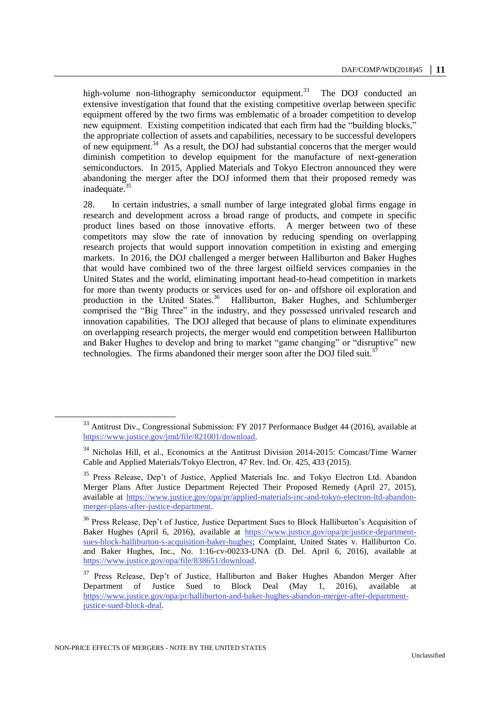high-volume non-lithography semiconductor equipment.<sup>33</sup> The DOJ conducted an extensive investigation that found that the existing competitive overlap between specific equipment offered by the two firms was emblematic of a broader competition to develop new equipment. Existing competition indicated that each firm had the "building blocks," the appropriate collection of assets and capabilities, necessary to be successful developers of new equipment. $34$  As a result, the DOJ had substantial concerns that the merger would diminish competition to develop equipment for the manufacture of next-generation semiconductors. In 2015, Applied Materials and Tokyo Electron announced they were abandoning the merger after the DOJ informed them that their proposed remedy was inadequate.<sup>35</sup>

28. In certain industries, a small number of large integrated global firms engage in research and development across a broad range of products, and compete in specific product lines based on those innovative efforts. A merger between two of these competitors may slow the rate of innovation by reducing spending on overlapping research projects that would support innovation competition in existing and emerging markets. In 2016, the DOJ challenged a merger between Halliburton and Baker Hughes that would have combined two of the three largest oilfield services companies in the United States and the world, eliminating important head-to-head competition in markets for more than twenty products or services used for on- and offshore oil exploration and production in the United States.<sup>36</sup> Halliburton, Baker Hughes, and Schlumberger comprised the "Big Three" in the industry, and they possessed unrivaled research and innovation capabilities. The DOJ alleged that because of plans to eliminate expenditures on overlapping research projects, the merger would end competition between Halliburton and Baker Hughes to develop and bring to market "game changing" or "disruptive" new technologies. The firms abandoned their merger soon after the DOJ filed suit.<sup>3</sup>

<sup>&</sup>lt;sup>33</sup> Antitrust Div., Congressional Submission: FY 2017 Performance Budget 44 (2016), available at <https://www.justice.gov/jmd/file/821001/download>*.* 

<sup>&</sup>lt;sup>34</sup> Nicholas Hill, et al., Economics at the Antitrust Division 2014-2015: Comcast/Time Warner Cable and Applied Materials/Tokyo Electron, 47 Rev. Ind. Or. 425, 433 (2015).

<sup>&</sup>lt;sup>35</sup> Press Release, Dep't of Justice, Applied Materials Inc. and Tokyo Electron Ltd. Abandon Merger Plans After Justice Department Rejected Their Proposed Remedy (April 27, 2015), available at [https://www.justice.gov/opa/pr/applied-materials-inc-and-tokyo-electron-ltd-abandon](https://www.justice.gov/opa/pr/applied-materials-inc-and-tokyo-electron-ltd-abandon-merger-plans-after-justice-department)[merger-plans-after-justice-department.](https://www.justice.gov/opa/pr/applied-materials-inc-and-tokyo-electron-ltd-abandon-merger-plans-after-justice-department) 

<sup>&</sup>lt;sup>36</sup> Press Release, Dep't of Justice, Justice Department Sues to Block Halliburton's Acquisition of Baker Hughes (April 6, 2016), available at [https://www.justice.gov/opa/pr/justice-department](https://www.justice.gov/opa/pr/justice-department-sues-block-halliburton-s-acquisition-baker-hughes)[sues-block-halliburton-s-acquisition-baker-hughes;](https://www.justice.gov/opa/pr/justice-department-sues-block-halliburton-s-acquisition-baker-hughes) Complaint, United States v. Halliburton Co. and Baker Hughes, Inc., No. 1:16-cv-00233-UNA (D. Del. April 6, 2016), available at [https://www.justice.gov/opa/file/838651/download.](https://www.justice.gov/opa/file/838651/download)

<sup>37</sup> Press Release, Dep't of Justice, Halliburton and Baker Hughes Abandon Merger After Department of Justice Sued to Block Deal (May 1, 2016), available at [https://www.justice.gov/opa/pr/halliburton-and-baker-hughes-abandon-merger-after-department](https://www.justice.gov/opa/pr/halliburton-and-baker-hughes-abandon-merger-after-department-justice-sued-block-deal)[justice-sued-block-deal](https://www.justice.gov/opa/pr/halliburton-and-baker-hughes-abandon-merger-after-department-justice-sued-block-deal)*.*